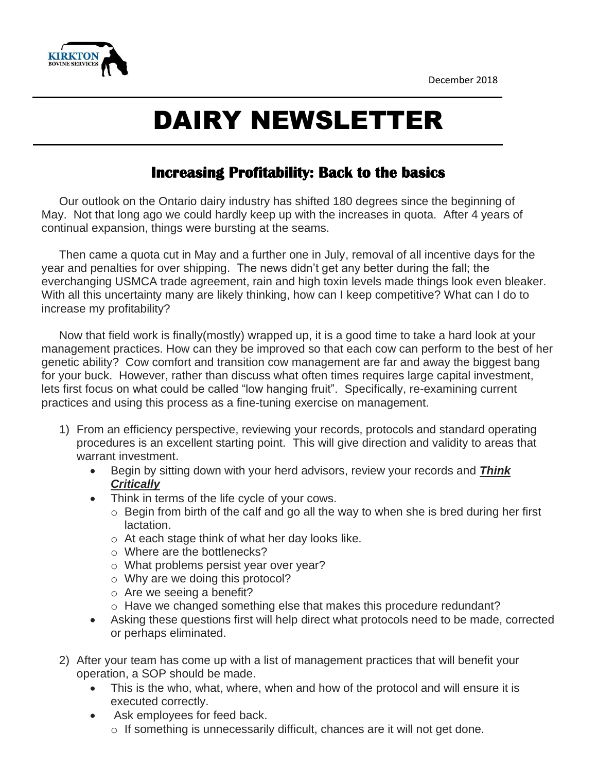

## DAIRY NEWSLETTER

## **Increasing Profitability: Back to the basics**

Our outlook on the Ontario dairy industry has shifted 180 degrees since the beginning of May. Not that long ago we could hardly keep up with the increases in quota. After 4 years of continual expansion, things were bursting at the seams.

Then came a quota cut in May and a further one in July, removal of all incentive days for the year and penalties for over shipping. The news didn't get any better during the fall; the everchanging USMCA trade agreement, rain and high toxin levels made things look even bleaker. With all this uncertainty many are likely thinking, how can I keep competitive? What can I do to increase my profitability?

Now that field work is finally(mostly) wrapped up, it is a good time to take a hard look at your management practices. How can they be improved so that each cow can perform to the best of her genetic ability? Cow comfort and transition cow management are far and away the biggest bang for your buck. However, rather than discuss what often times requires large capital investment, lets first focus on what could be called "low hanging fruit". Specifically, re-examining current practices and using this process as a fine-tuning exercise on management.

- 1) From an efficiency perspective, reviewing your records, protocols and standard operating procedures is an excellent starting point. This will give direction and validity to areas that warrant investment.
	- Begin by sitting down with your herd advisors, review your records and *Think Critically*
	- Think in terms of the life cycle of your cows.
		- $\circ$  Begin from birth of the calf and go all the way to when she is bred during her first lactation.
		- o At each stage think of what her day looks like.
		- o Where are the bottlenecks?
		- o What problems persist year over year?
		- o Why are we doing this protocol?
		- o Are we seeing a benefit?
		- $\circ$  Have we changed something else that makes this procedure redundant?
	- Asking these questions first will help direct what protocols need to be made, corrected or perhaps eliminated.
- 2) After your team has come up with a list of management practices that will benefit your operation, a SOP should be made.
	- This is the who, what, where, when and how of the protocol and will ensure it is executed correctly.
	- Ask employees for feed back.  $\circ$  If something is unnecessarily difficult, chances are it will not get done.